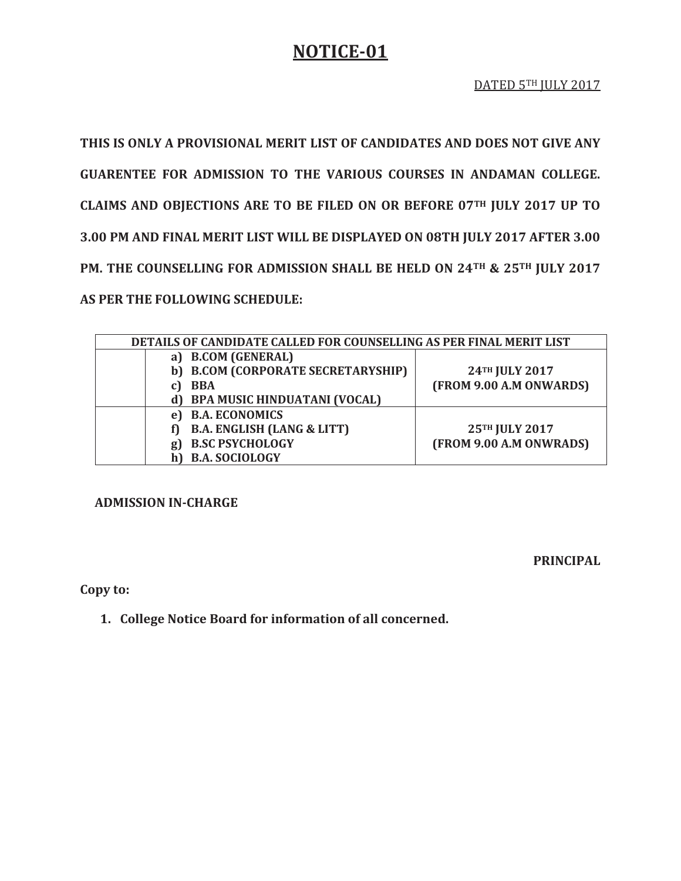## **NOTICE-01**

**THIS IS ONLY A PROVISIONAL MERIT LIST OF CANDIDATES AND DOES NOT GIVE ANY GUARENTEE FOR ADMISSION TO THE VARIOUS COURSES IN ANDAMAN COLLEGE. CLAIMS AND OBJECTIONS ARE TO BE FILED ON OR BEFORE 07TH JULY 2017 UP TO 3.00 PM AND FINAL MERIT LIST WILL BE DISPLAYED ON 08TH JULY 2017 AFTER 3.00 PM. THE COUNSELLING FOR ADMISSION SHALL BE HELD ON 24TH & 25TH JULY 2017 AS PER THE FOLLOWING SCHEDULE:** 

| DETAILS OF CANDIDATE CALLED FOR COUNSELLING AS PER FINAL MERIT LIST |                                       |                         |  |
|---------------------------------------------------------------------|---------------------------------------|-------------------------|--|
|                                                                     | a) B.COM (GENERAL)                    |                         |  |
|                                                                     | b) B.COM (CORPORATE SECRETARYSHIP)    | 24TH JULY 2017          |  |
|                                                                     | <b>BBA</b>                            | (FROM 9.00 A.M ONWARDS) |  |
|                                                                     | <b>BPA MUSIC HINDUATANI (VOCAL)</b>   |                         |  |
|                                                                     | <b>B.A. ECONOMICS</b><br>e l          |                         |  |
|                                                                     | <b>B.A. ENGLISH (LANG &amp; LITT)</b> | 25TH JULY 2017          |  |
|                                                                     | <b>B.SC PSYCHOLOGY</b><br>g           | (FROM 9.00 A.M ONWRADS) |  |
|                                                                     | <b>B.A. SOCIOLOGY</b>                 |                         |  |

**ADMISSION IN-CHARGE** 

**PRINCIPAL** 

**Copy to:** 

**1. College Notice Board for information of all concerned.**